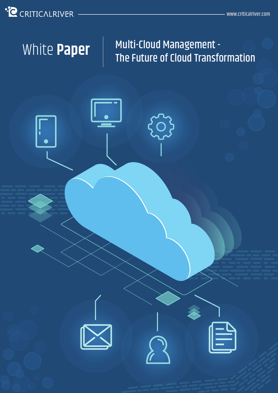## **C** CRITICALRIVER

### Multi-Cloud Management - White Paper<sup> | Multi-Cloud Management -<br>The Future of Cloud Transformation</sup>

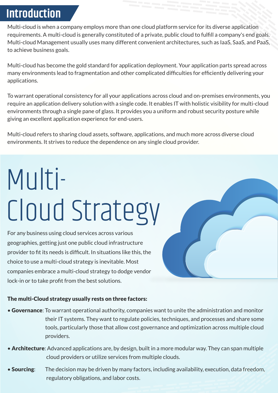## **Introduction**

Multi-cloud is when a company employs more than one cloud platform service for its diverse application requirements. A multi-cloud is generally constituted of a private, public cloud to fulfill a company's end goals. Multi-cloud Management usually uses many different convenient architectures, such as IaaS, SaaS, and PaaS, to achieve business goals.

Multi-cloud has become the gold standard for application deployment. Your application parts spread across many environments lead to fragmentation and other complicated difficulties for efficiently delivering your applications.

To warrant operational consistency for all your applications across cloud and on-premises environments, you require an application delivery solution with a single code. It enables IT with holistic visibility for multi-cloud environments through a single pane of glass. It provides you a uniform and robust security posture while giving an excellent application experience for end-users.

Multi-cloud refers to sharing cloud assets, software, applications, and much more across diverse cloud environments. It strives to reduce the dependence on any single cloud provider.

# Multi-Cloud Strategy

For any business using cloud services across various geographies, getting just one public cloud infrastructure provider to fit its needs is difficult. In situations like this, the choice to use a multi-cloud strategy is inevitable. Most companies embrace a multi-cloud strategy to dodge vendor lock-in or to take profit from the best solutions.

#### The multi-Cloud strategy usually rests on three factors:

- Governance: To warrant operational authority, companies want to unite the administration and monitor their IT systems. They want to regulate policies, techniques, and processes and share some tools, particularly those that allow cost governance and optimization across multiple cloud providers.
- Architecture: Advanced applications are, by design, built in a more modular way. They can span multiple cloud providers or utilize services from multiple clouds.
- **Sourcing:** The decision may be driven by many factors, including availability, execution, data freedom, regulatory obligations, and labor costs.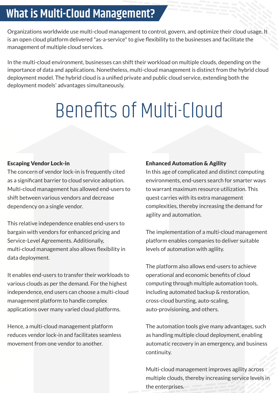## **What is Multi-Cloud Management?**

Organizations worldwide use multi-cloud management to control, govern, and optimize their cloud usage. It is an open cloud platform delivered "as-a-service" to give flexibility to the businesses and facilitate the management of multiple cloud services.

In the multi-cloud environment, businesses can shift their workload on multiple clouds, depending on the importance of data and applications. Nonetheless, multi-cloud management is distinct from the hybrid cloud deployment model. The hybrid cloud is a unified private and public cloud service, extending both the deployment models' advantages simultaneously.

## Benefits of Multi-Cloud

#### Escaping Vendor Lock-in

The concern of vendor lock-in is frequently cited as a significant barrier to cloud service adoption. Multi-cloud management has allowed end-users to shift between various vendors and decrease dependency on a single vendor.

This relative independence enables end-users to bargain with vendors for enhanced pricing and Service-Level Agreements. Additionally, multi-cloud management also allows flexibility in data deployment.

It enables end-users to transfer their workloads to various clouds as per the demand. For the highest independence, end users can choose a multi-cloud management platform to handle complex applications over many varied cloud platforms.

Hence, a multi-cloud management platform reduces vendor lock-in and facilitates seamless movement from one vendor to another.

#### Enhanced Automation & Agility

In this age of complicated and distinct computing environments, end-users search for smarter ways to warrant maximum resource utilization. This quest carries with its extra management complexities, thereby increasing the demand for agility and automation.

The implementation of a multi-cloud management platform enables companies to deliver suitable levels of automation with agility.

The platform also allows end-users to achieve operational and economic benefits of cloud computing through multiple automation tools, including automated backup & restoration, cross-cloud bursting, auto-scaling, auto-provisioning, and others.

The automation tools give many advantages, such as handling multiple cloud deployment, enabling automatic recovery in an emergency, and business continuity.

Multi-cloud management improves agility across multiple clouds, thereby increasing service levels in the enterprises.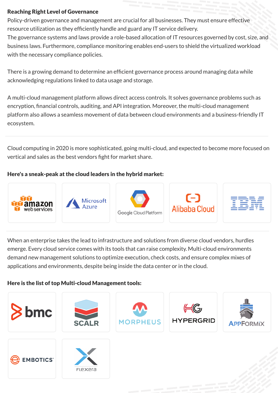#### Reaching Right Level of Governance

Policy-driven governance and management are crucial for all businesses. They must ensure effective resource utilization as they efficiently handle and guard any IT service delivery.

The governance systems and laws provide a role-based allocation of IT resources governed by cost, size, and business laws. Furthermore, compliance monitoring enables end-users to shield the virtualized workload with the necessary compliance policies.

There is a growing demand to determine an efficient governance process around managing data while acknowledging regulations linked to data usage and storage.

A multi-cloud management platform allows direct access controls. It solves governance problems such as encryption, financial controls, auditing, and API integration. Moreover, the multi-cloud management platform also allows a seamless movement of data between cloud environments and a business-friendly IT ecosystem.

Cloud computing in 2020 is more sophisticated, going multi-cloud, and expected to become more focused on vertical and sales as the best vendors fight for market share.

#### Here's a sneak-peak at the cloud leaders in the hybrid market:











When an enterprise takes the lead to infrastructure and solutions from diverse cloud vendors, hurdles emerge. Every cloud service comes with its tools that can raise complexity. Multi-cloud environments demand new management solutions to optimize execution, check costs, and ensure complex mixes of applications and environments, despite being inside the data center or in the cloud.

#### Here is the list of top Multi-cloud Management tools: